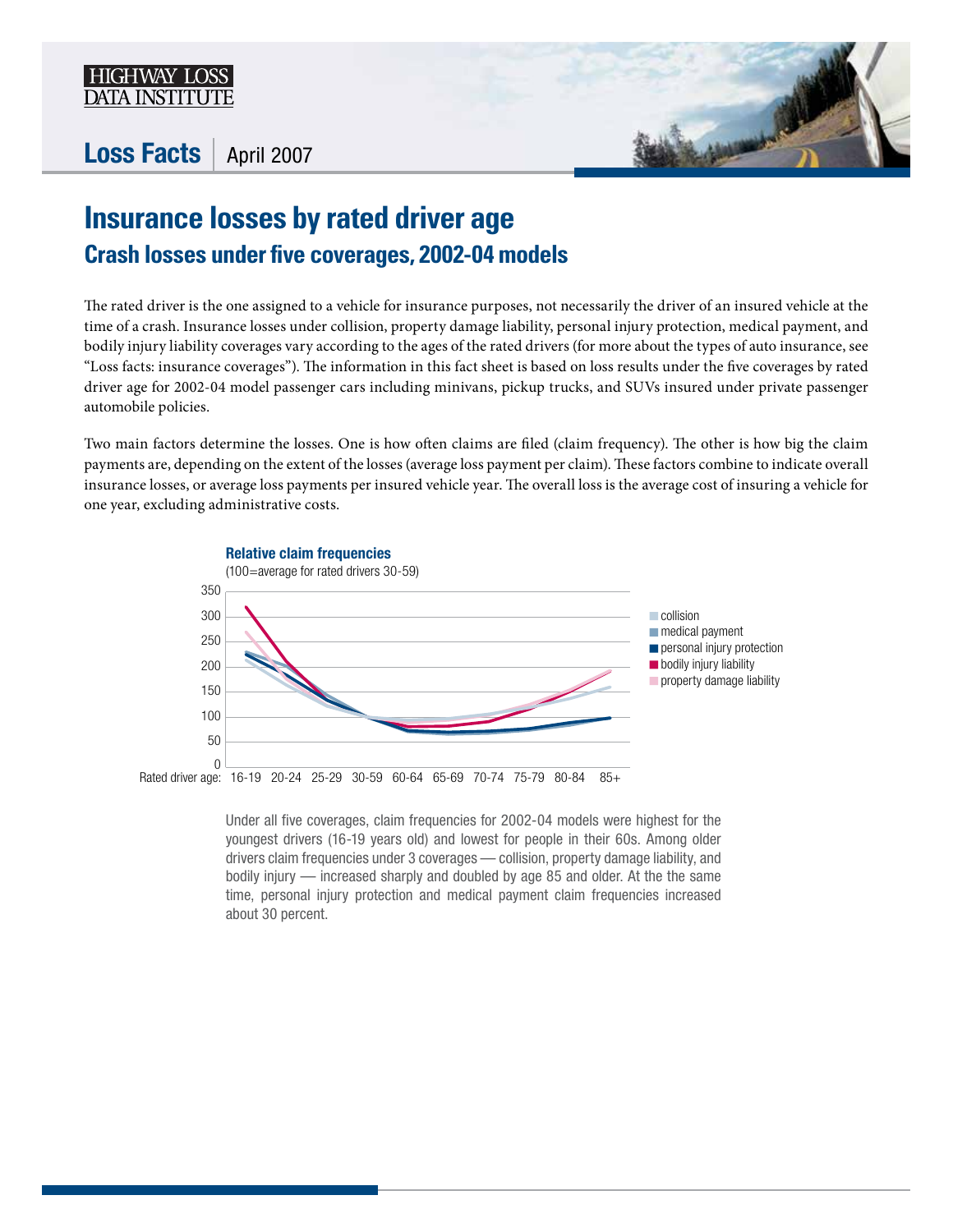

## Loss Facts | April 2007



## **Insurance losses by rated driver age Crash losses under five coverages, 2002-04 models**

The rated driver is the one assigned to a vehicle for insurance purposes, not necessarily the driver of an insured vehicle at the time of a crash. Insurance losses under collision, property damage liability, personal injury protection, medical payment, and bodily injury liability coverages vary according to the ages of the rated drivers (for more about the types of auto insurance, see "Loss facts: insurance coverages"). The information in this fact sheet is based on loss results under the five coverages by rated driver age for 2002-04 model passenger cars including minivans, pickup trucks, and SUVs insured under private passenger automobile policies.

Two main factors determine the losses. One is how often claims are filed (claim frequency). The other is how big the claim payments are, depending on the extent of the losses (average loss payment per claim). These factors combine to indicate overall insurance losses, or average loss payments per insured vehicle year. The overall loss is the average cost of insuring a vehicle for one year, excluding administrative costs.



Under all five coverages, claim frequencies for 2002-04 models were highest for the youngest drivers (16-19 years old) and lowest for people in their 60s. Among older drivers claim frequencies under 3 coverages — collision, property damage liability, and bodily injury — increased sharply and doubled by age 85 and older. At the the same time, personal injury protection and medical payment claim frequencies increased about 30 percent.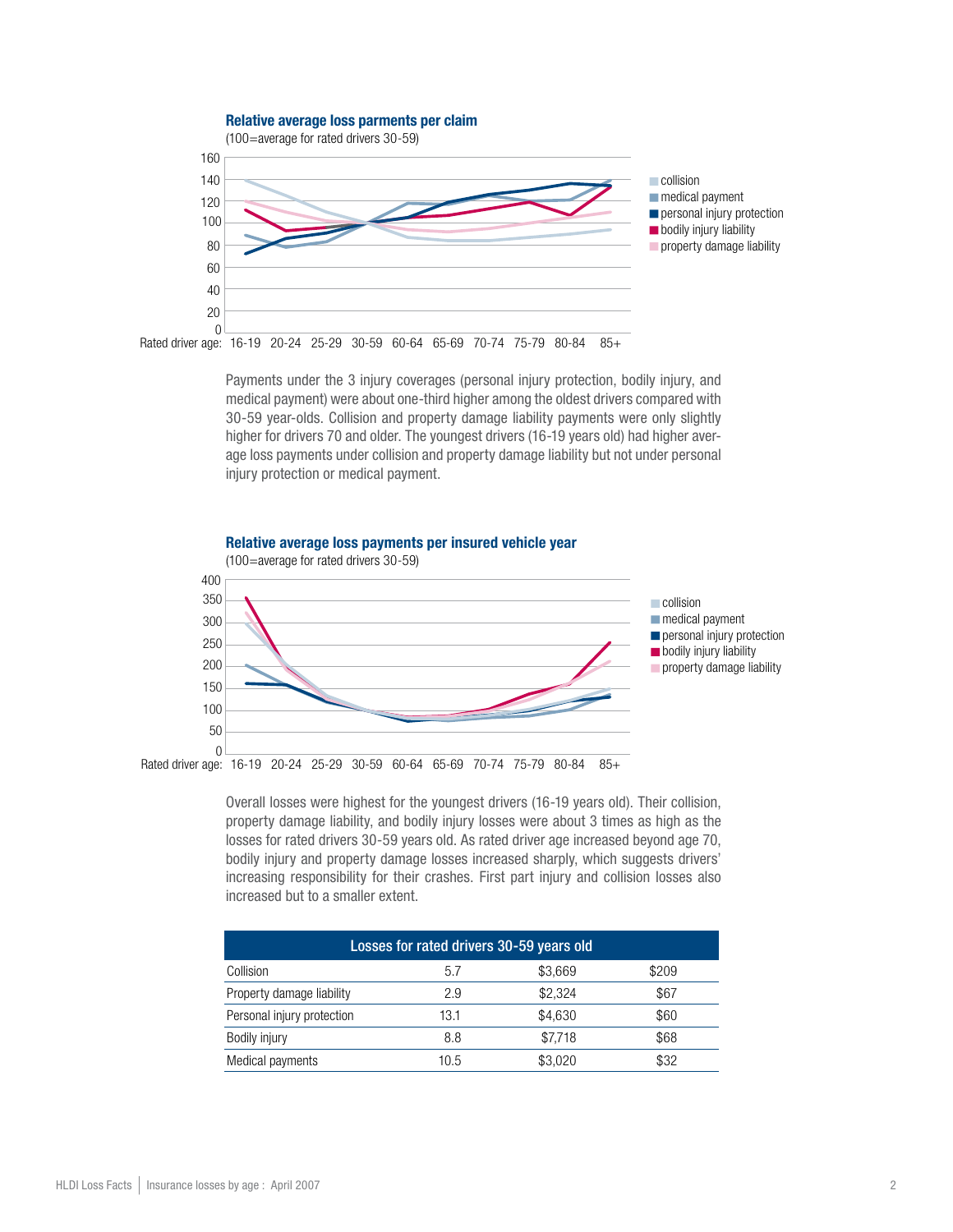

Payments under the 3 injury coverages (personal injury protection, bodily injury, and medical payment) were about one-third higher among the oldest drivers compared with 30-59 year-olds. Collision and property damage liability payments were only slightly higher for drivers 70 and older. The youngest drivers (16-19 years old) had higher average loss payments under collision and property damage liability but not under personal injury protection or medical payment.



Overall losses were highest for the youngest drivers (16-19 years old). Their collision, property damage liability, and bodily injury losses were about 3 times as high as the losses for rated drivers 30-59 years old. As rated driver age increased beyond age 70, bodily injury and property damage losses increased sharply, which suggests drivers' increasing responsibility for their crashes. First part injury and collision losses also increased but to a smaller extent.

| Losses for rated drivers 30-59 years old |      |         |       |  |  |  |  |  |
|------------------------------------------|------|---------|-------|--|--|--|--|--|
| Collision                                | 5.7  | \$3,669 | \$209 |  |  |  |  |  |
| Property damage liability                | 2.9  | \$2,324 | \$67  |  |  |  |  |  |
| Personal injury protection               | 13.1 | \$4,630 | \$60  |  |  |  |  |  |
| Bodily injury                            | 8.8  | \$7,718 | \$68  |  |  |  |  |  |
| Medical payments                         | 10.5 | \$3.020 | \$32  |  |  |  |  |  |